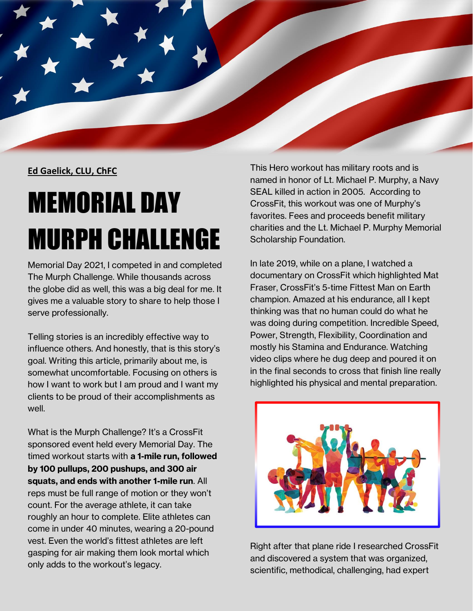

## **Ed Gaelick, CLU, ChFC**

## MEMORIAL DAY MURPH CHALLENGE

Memorial Day 2021, I competed in and completed The Murph Challenge. While thousands across the globe did as well, this was a big deal for me. It gives me a valuable story to share to help those I serve professionally.

Telling stories is an incredibly effective way to influence others. And honestly, that is this story's goal. Writing this article, primarily about me, is somewhat uncomfortable. Focusing on others is how I want to work but I am proud and I want my clients to be proud of their accomplishments as well.

What is the Murph Challenge? It's a CrossFit sponsored event held every Memorial Day. The timed workout starts with **a 1-mile run, followed by 100 pullups, 200 pushups, and 300 air squats, and ends with another 1-mile run**. All reps must be full range of motion or they won't count. For the average athlete, it can take roughly an hour to complete. Elite athletes can come in under 40 minutes, wearing a 20-pound vest. Even the world's fittest athletes are left gasping for air making them look mortal which only adds to the workout's legacy.

This Hero workout has military roots and is named in honor of Lt. Michael P. Murphy, a Navy SEAL killed in action in 2005. According to CrossFit, this workout was one of Murphy's favorites. Fees and proceeds benefit military charities and the Lt. Michael P. Murphy Memorial Scholarship Foundation.

In late 2019, while on a plane, I watched a documentary on CrossFit which highlighted Mat Fraser, CrossFit's 5-time Fittest Man on Earth champion. Amazed at his endurance, all I kept thinking was that no human could do what he was doing during competition. Incredible Speed, Power, Strength, Flexibility, Coordination and mostly his Stamina and Endurance. Watching video clips where he dug deep and poured it on in the final seconds to cross that finish line really highlighted his physical and mental preparation.



Right after that plane ride I researched CrossFit and discovered a system that was organized, scientific, methodical, challenging, had expert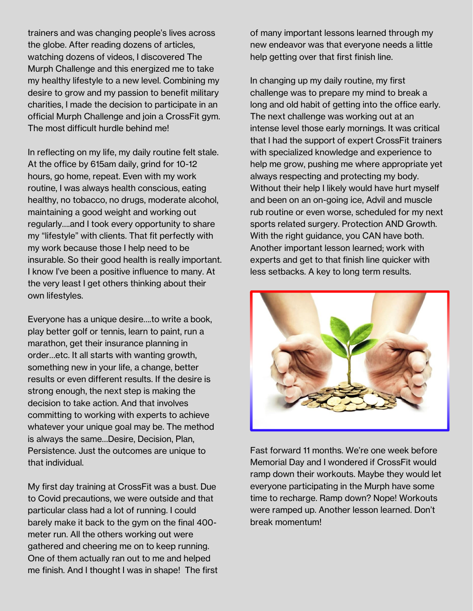trainers and was changing people's lives across the globe. After reading dozens of articles, watching dozens of videos, I discovered The Murph Challenge and this energized me to take my healthy lifestyle to a new level. Combining my desire to grow and my passion to benefit military charities, I made the decision to participate in an official Murph Challenge and join a CrossFit gym. The most difficult hurdle behind me!

In reflecting on my life, my daily routine felt stale. At the office by 615am daily, grind for 10-12 hours, go home, repeat. Even with my work routine, I was always health conscious, eating healthy, no tobacco, no drugs, moderate alcohol, maintaining a good weight and working out regularly….and I took every opportunity to share my "lifestyle" with clients. That fit perfectly with my work because those I help need to be insurable. So their good health is really important. I know I've been a positive influence to many. At the very least I get others thinking about their own lifestyles.

Everyone has a unique desire….to write a book, play better golf or tennis, learn to paint, run a marathon, get their insurance planning in order…etc. It all starts with wanting growth, something new in your life, a change, better results or even different results. If the desire is strong enough, the next step is making the decision to take action. And that involves committing to working with experts to achieve whatever your unique goal may be. The method is always the same…Desire, Decision, Plan, Persistence. Just the outcomes are unique to that individual.

My first day training at CrossFit was a bust. Due to Covid precautions, we were outside and that particular class had a lot of running. I could barely make it back to the gym on the final 400 meter run. All the others working out were gathered and cheering me on to keep running. One of them actually ran out to me and helped me finish. And I thought I was in shape! The first of many important lessons learned through my new endeavor was that everyone needs a little help getting over that first finish line.

In changing up my daily routine, my first challenge was to prepare my mind to break a long and old habit of getting into the office early. The next challenge was working out at an intense level those early mornings. It was critical that I had the support of expert CrossFit trainers with specialized knowledge and experience to help me grow, pushing me where appropriate yet always respecting and protecting my body. Without their help I likely would have hurt myself and been on an on-going ice, Advil and muscle rub routine or even worse, scheduled for my next sports related surgery. Protection AND Growth. With the right guidance, you CAN have both. Another important lesson learned; work with experts and get to that finish line quicker with less setbacks. A key to long term results.



Fast forward 11 months. We're one week before Memorial Day and I wondered if CrossFit would ramp down their workouts. Maybe they would let everyone participating in the Murph have some time to recharge. Ramp down? Nope! Workouts were ramped up. Another lesson learned. Don't break momentum!